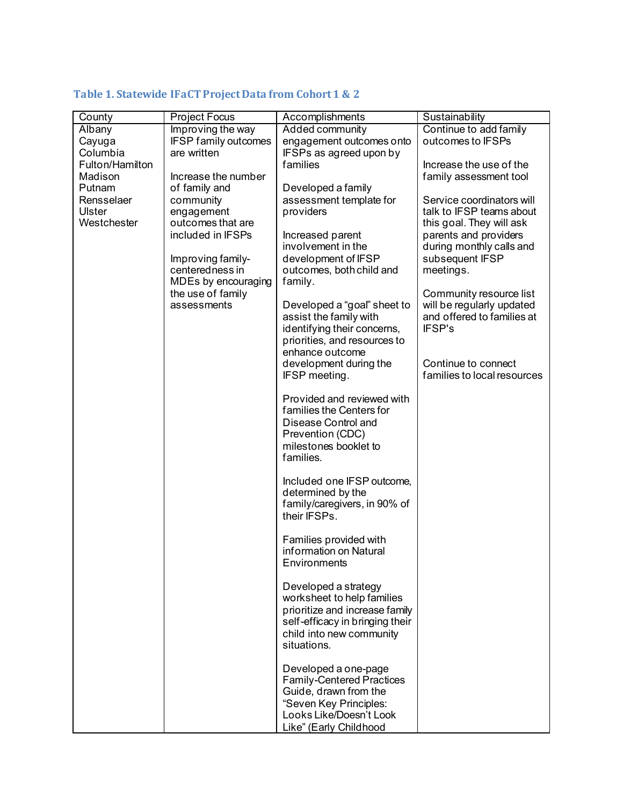## **Table 1. Statewide IFaCT Project Data from Cohort 1 & 2**

| County          | <b>Project Focus</b>                 | Accomplishments                        | Sustainability              |
|-----------------|--------------------------------------|----------------------------------------|-----------------------------|
| Albany          | Improving the way                    | Added community                        | Continue to add family      |
| Cayuga          | <b>IFSP family outcomes</b>          | engagement outcomes onto               | outcomes to IFSPs           |
| Columbia        | are written                          | IFSPs as agreed upon by                |                             |
| Fulton/Hamilton |                                      | families                               | Increase the use of the     |
| Madison         | Increase the number                  |                                        | family assessment tool      |
| Putnam          | of family and                        | Developed a family                     |                             |
| Rensselaer      |                                      |                                        | Service coordinators will   |
| Ulster          | community<br>engagement              | assessment template for<br>providers   | talk to IFSP teams about    |
| Westchester     | outcomes that are                    |                                        | this goal. They will ask    |
|                 | included in IFSPs                    |                                        |                             |
|                 |                                      | Increased parent<br>involvement in the | parents and providers       |
|                 |                                      |                                        | during monthly calls and    |
|                 | Improving family-<br>centeredness in | development of IFSP                    | subsequent IFSP             |
|                 |                                      | outcomes, both child and               | meetings.                   |
|                 | MDEs by encouraging                  | family.                                |                             |
|                 | the use of family                    |                                        | Community resource list     |
|                 | assessments                          | Developed a "goal" sheet to            | will be regularly updated   |
|                 |                                      | assist the family with                 | and offered to families at  |
|                 |                                      | identifying their concerns,            | <b>IFSP's</b>               |
|                 |                                      | priorities, and resources to           |                             |
|                 |                                      | enhance outcome                        |                             |
|                 |                                      | development during the                 | Continue to connect         |
|                 |                                      | IFSP meeting.                          | families to local resources |
|                 |                                      |                                        |                             |
|                 |                                      | Provided and reviewed with             |                             |
|                 |                                      | families the Centers for               |                             |
|                 |                                      | Disease Control and                    |                             |
|                 |                                      | Prevention (CDC)                       |                             |
|                 |                                      | milestones booklet to                  |                             |
|                 |                                      | families.                              |                             |
|                 |                                      |                                        |                             |
|                 |                                      | Included one IFSP outcome,             |                             |
|                 |                                      | determined by the                      |                             |
|                 |                                      | family/caregivers, in 90% of           |                             |
|                 |                                      | their IFSPs.                           |                             |
|                 |                                      |                                        |                             |
|                 |                                      | Families provided with                 |                             |
|                 |                                      | information on Natural                 |                             |
|                 |                                      | Environments                           |                             |
|                 |                                      |                                        |                             |
|                 |                                      | Developed a strategy                   |                             |
|                 |                                      | worksheet to help families             |                             |
|                 |                                      | prioritize and increase family         |                             |
|                 |                                      | self-efficacy in bringing their        |                             |
|                 |                                      | child into new community               |                             |
|                 |                                      | situations.                            |                             |
|                 |                                      |                                        |                             |
|                 |                                      | Developed a one-page                   |                             |
|                 |                                      | <b>Family-Centered Practices</b>       |                             |
|                 |                                      | Guide, drawn from the                  |                             |
|                 |                                      | "Seven Key Principles:                 |                             |
|                 |                                      | Looks Like/Doesn't Look                |                             |
|                 |                                      | Like" (Early Childhood                 |                             |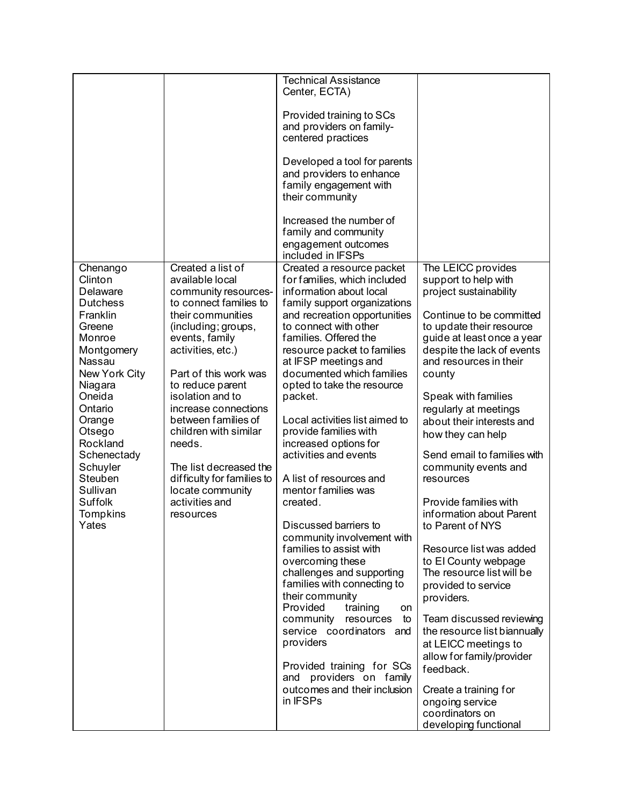|                  |                                             | <b>Technical Assistance</b>                                |                                    |
|------------------|---------------------------------------------|------------------------------------------------------------|------------------------------------|
|                  |                                             | Center, ECTA)                                              |                                    |
|                  |                                             |                                                            |                                    |
|                  |                                             | Provided training to SCs                                   |                                    |
|                  |                                             | and providers on family-                                   |                                    |
|                  |                                             | centered practices                                         |                                    |
|                  |                                             |                                                            |                                    |
|                  |                                             | Developed a tool for parents                               |                                    |
|                  |                                             | and providers to enhance                                   |                                    |
|                  |                                             | family engagement with                                     |                                    |
|                  |                                             | their community                                            |                                    |
|                  |                                             |                                                            |                                    |
|                  |                                             | Increased the number of                                    |                                    |
|                  |                                             | family and community                                       |                                    |
|                  |                                             | engagement outcomes                                        |                                    |
|                  |                                             | included in IFSPs                                          |                                    |
| Chenango         | Created a list of                           | Created a resource packet                                  | The LEICC provides                 |
| Clinton          | available local                             | for families, which included                               | support to help with               |
| Delaware         | community resources-                        | information about local                                    | project sustainability             |
| <b>Dutchess</b>  | to connect families to                      | family support organizations                               |                                    |
| Franklin         | their communities                           | and recreation opportunities                               | Continue to be committed           |
| Greene           | (including; groups,                         | to connect with other                                      | to update their resource           |
| Monroe           | events, family                              | families. Offered the                                      | guide at least once a year         |
| Montgomery       | activities, etc.)                           | resource packet to families                                | despite the lack of events         |
| Nassau           |                                             | at IFSP meetings and                                       | and resources in their             |
| New York City    | Part of this work was                       | documented which families                                  | county                             |
| Niagara          | to reduce parent                            | opted to take the resource                                 |                                    |
| Oneida           | isolation and to                            | packet.                                                    | Speak with families                |
| Ontario          | increase connections<br>between families of | Local activities list aimed to                             | regularly at meetings              |
| Orange<br>Otsego | children with similar                       | provide families with                                      | about their interests and          |
| Rockland         | needs.                                      | increased options for                                      | how they can help                  |
| Schenectady      |                                             | activities and events                                      | Send email to families with        |
| Schuyler         | The list decreased the                      |                                                            | community events and               |
| Steuben          | difficulty for families to                  | A list of resources and                                    | resources                          |
| Sullivan         | locate community                            | mentor families was                                        |                                    |
| <b>Suffolk</b>   | activities and                              | created.                                                   | Provide families with              |
| Tompkins         | resources                                   |                                                            | information about Parent           |
| Yates            |                                             | Discussed barriers to                                      | to Parent of NYS                   |
|                  |                                             | community involvement with                                 |                                    |
|                  |                                             | families to assist with                                    | Resource list was added            |
|                  |                                             | overcoming these                                           | to El County webpage               |
|                  |                                             | challenges and supporting                                  | The resource list will be          |
|                  |                                             | families with connecting to                                | provided to service                |
|                  |                                             | their community                                            | providers.                         |
|                  |                                             | Provided<br>training<br>on                                 |                                    |
|                  |                                             | community<br>resources<br>to                               | Team discussed reviewing           |
|                  |                                             | service coordinators<br>and                                | the resource list biannually       |
|                  |                                             | providers                                                  | at LEICC meetings to               |
|                  |                                             |                                                            | allow for family/provider          |
|                  |                                             | Provided training for SCs                                  | feedback.                          |
|                  |                                             | providers on family<br>and<br>outcomes and their inclusion |                                    |
|                  |                                             | in IFSPs                                                   | Create a training for              |
|                  |                                             |                                                            | ongoing service<br>coordinators on |
|                  |                                             |                                                            | developing functional              |
|                  |                                             |                                                            |                                    |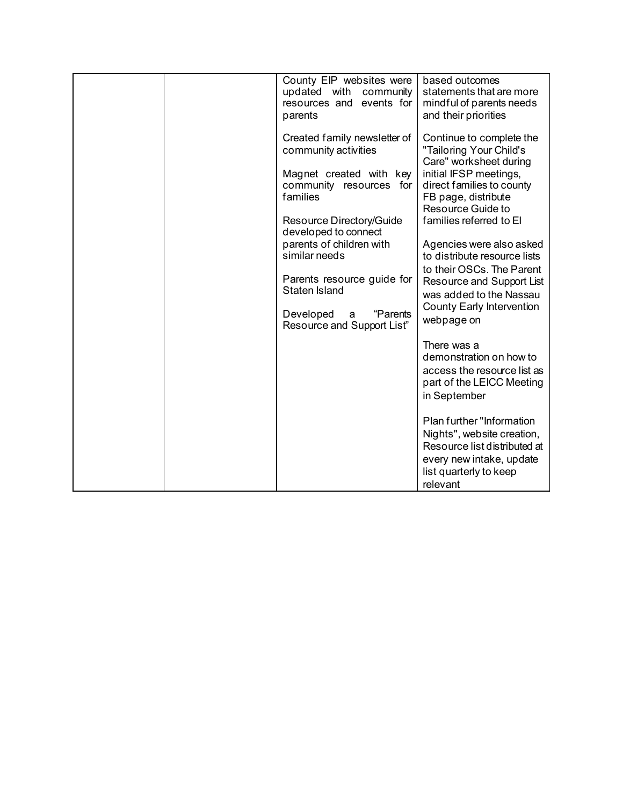| County EIP websites were<br>updated with<br>community<br>resources and<br>events for<br>parents                                                                                                                                                                                                                | based outcomes<br>statements that are more<br>mindful of parents needs<br>and their priorities                                                                                                                                                                                                                                                                                                   |
|----------------------------------------------------------------------------------------------------------------------------------------------------------------------------------------------------------------------------------------------------------------------------------------------------------------|--------------------------------------------------------------------------------------------------------------------------------------------------------------------------------------------------------------------------------------------------------------------------------------------------------------------------------------------------------------------------------------------------|
| Created family newsletter of<br>community activities<br>Magnet created with key<br>community<br>resources for<br>families<br>Resource Directory/Guide<br>developed to connect<br>parents of children with<br>similar needs<br>Parents resource guide for<br><b>Staten Island</b><br>Developed<br>"Parents<br>a | Continue to complete the<br>"Tailoring Your Child's<br>Care" worksheet during<br>initial IFSP meetings,<br>direct families to county<br>FB page, distribute<br>Resource Guide to<br>families referred to El<br>Agencies were also asked<br>to distribute resource lists<br>to their OSCs. The Parent<br>Resource and Support List<br>was added to the Nassau<br><b>County Early Intervention</b> |
| Resource and Support List"                                                                                                                                                                                                                                                                                     | webpage on<br>There was a<br>demonstration on how to<br>access the resource list as<br>part of the LEICC Meeting<br>in September<br>Plan further "Information<br>Nights", website creation,<br>Resource list distributed at<br>every new intake, update<br>list quarterly to keep<br>relevant                                                                                                    |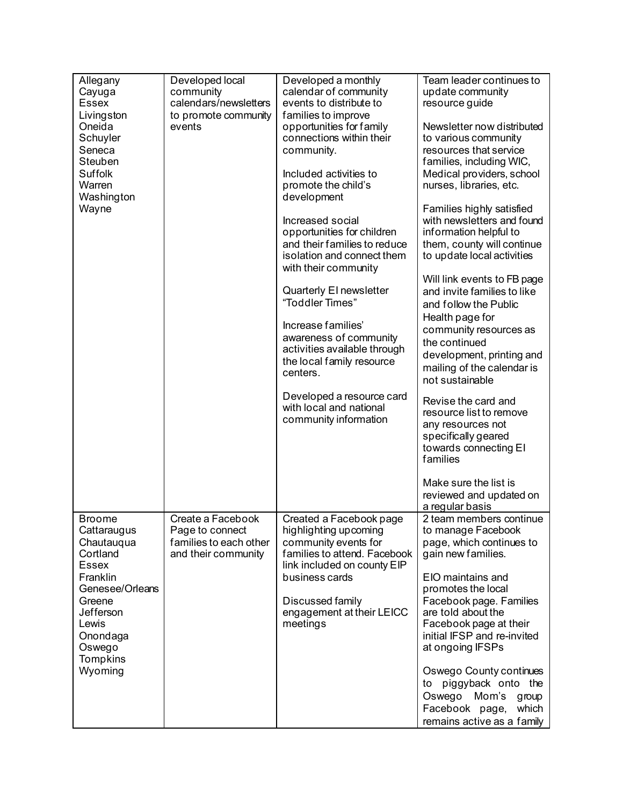| Allegany<br>Cayuga<br><b>Essex</b><br>Livingston<br>Oneida<br>Schuyler<br>Seneca<br>Steuben<br>Suffolk<br>Warren<br>Washington<br>Wayne                                            | Developed local<br>community<br>calendars/newsletters<br>to promote community<br>events | Developed a monthly<br>calendar of community<br>events to distribute to<br>families to improve<br>opportunities for family<br>connections within their<br>community.<br>Included activities to<br>promote the child's<br>development<br>Increased social<br>opportunities for children<br>and their families to reduce<br>isolation and connect them<br>with their community<br>Quarterly El newsletter<br>"Toddler Times"<br>Increase families'<br>awareness of community<br>activities available through<br>the local family resource<br>centers.<br>Developed a resource card<br>with local and national | Team leader continues to<br>update community<br>resource guide<br>Newsletter now distributed<br>to various community<br>resources that service<br>families, including WIC,<br>Medical providers, school<br>nurses, libraries, etc.<br>Families highly satisfied<br>with newsletters and found<br>information helpful to<br>them, county will continue<br>to update local activities<br>Will link events to FB page<br>and invite families to like<br>and follow the Public<br>Health page for<br>community resources as<br>the continued<br>development, printing and<br>mailing of the calendar is<br>not sustainable<br>Revise the card and<br>resource list to remove |
|------------------------------------------------------------------------------------------------------------------------------------------------------------------------------------|-----------------------------------------------------------------------------------------|-------------------------------------------------------------------------------------------------------------------------------------------------------------------------------------------------------------------------------------------------------------------------------------------------------------------------------------------------------------------------------------------------------------------------------------------------------------------------------------------------------------------------------------------------------------------------------------------------------------|--------------------------------------------------------------------------------------------------------------------------------------------------------------------------------------------------------------------------------------------------------------------------------------------------------------------------------------------------------------------------------------------------------------------------------------------------------------------------------------------------------------------------------------------------------------------------------------------------------------------------------------------------------------------------|
|                                                                                                                                                                                    |                                                                                         | community information                                                                                                                                                                                                                                                                                                                                                                                                                                                                                                                                                                                       | any resources not<br>specifically geared<br>towards connecting EI<br>families<br>Make sure the list is<br>reviewed and updated on<br>a regular basis                                                                                                                                                                                                                                                                                                                                                                                                                                                                                                                     |
| <b>Broome</b><br>Cattaraugus<br>Chautauqua<br>Cortland<br><b>Essex</b><br>Franklin<br>Genesee/Orleans<br>Greene<br>Jefferson<br>Lewis<br>Onondaga<br>Oswego<br>Tompkins<br>Wyoming | Create a Facebook<br>Page to connect<br>families to each other<br>and their community   | Created a Facebook page<br>highlighting upcoming<br>community events for<br>families to attend. Facebook<br>link included on county EIP<br>business cards<br>Discussed family<br>engagement at their LEICC<br>meetings                                                                                                                                                                                                                                                                                                                                                                                      | 2 team members continue<br>to manage Facebook<br>page, which continues to<br>gain new families.<br>EIO maintains and<br>promotes the local<br>Facebook page. Families<br>are told about the<br>Facebook page at their<br>initial IFSP and re-invited<br>at ongoing IFSPs<br>Oswego County continues<br>to piggyback onto the<br>Oswego Mom's<br>group<br>Facebook page,<br>which<br>remains active as a family                                                                                                                                                                                                                                                           |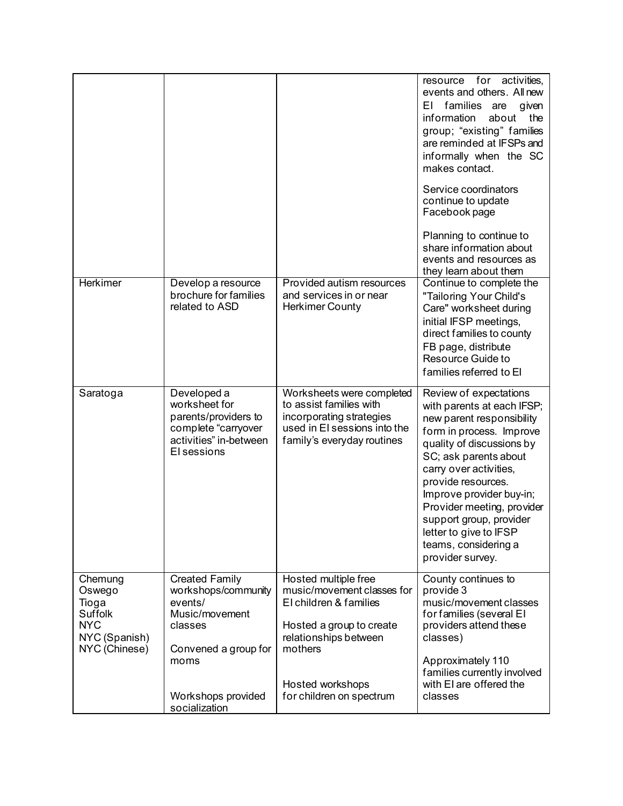|                                                                                       |                                                                                                                      |                                                                                                                                                                  | resource<br>for activities,<br>events and others. All new<br>families are<br>ΕI<br>given<br>information<br>about<br>the<br>group; "existing" families<br>are reminded at IFSPs and<br>informally when the SC<br>makes contact.<br>Service coordinators<br>continue to update<br>Facebook page<br>Planning to continue to<br>share information about<br>events and resources as<br>they learn about them |
|---------------------------------------------------------------------------------------|----------------------------------------------------------------------------------------------------------------------|------------------------------------------------------------------------------------------------------------------------------------------------------------------|---------------------------------------------------------------------------------------------------------------------------------------------------------------------------------------------------------------------------------------------------------------------------------------------------------------------------------------------------------------------------------------------------------|
| <b>Herkimer</b>                                                                       | Develop a resource<br>brochure for families<br>related to ASD                                                        | Provided autism resources<br>and services in or near<br><b>Herkimer County</b>                                                                                   | Continue to complete the<br>"Tailoring Your Child's<br>Care" worksheet during<br>initial IFSP meetings,<br>direct families to county<br>FB page, distribute<br>Resource Guide to<br>families referred to El                                                                                                                                                                                             |
| Saratoga                                                                              | Developed a<br>worksheet for<br>parents/providers to<br>complete "carryover<br>activities" in-between<br>El sessions | Worksheets were completed<br>to assist families with<br>incorporating strategies<br>used in EI sessions into the<br>family's everyday routines                   | Review of expectations<br>with parents at each IFSP;<br>new parent responsibility<br>form in process. Improve<br>quality of discussions by<br>SC; ask parents about<br>carry over activities,<br>provide resources.<br>Improve provider buy-in;<br>Provider meeting, provider<br>support group, provider<br>letter to give to IFSP<br>teams, considering a<br>provider survey.                          |
| Chemung<br>Oswego<br>Tioga<br>Suffolk<br><b>NYC</b><br>NYC (Spanish)<br>NYC (Chinese) | <b>Created Family</b><br>workshops/community<br>events/<br>Music/movement<br>classes<br>Convened a group for<br>moms | Hosted multiple free<br>music/movement classes for<br>El children & families<br>Hosted a group to create<br>relationships between<br>mothers<br>Hosted workshops | County continues to<br>provide 3<br>music/movement classes<br>for families (several EI<br>providers attend these<br>classes)<br>Approximately 110<br>families currently involved<br>with EI are offered the                                                                                                                                                                                             |
|                                                                                       | Workshops provided<br>socialization                                                                                  | for children on spectrum                                                                                                                                         | classes                                                                                                                                                                                                                                                                                                                                                                                                 |